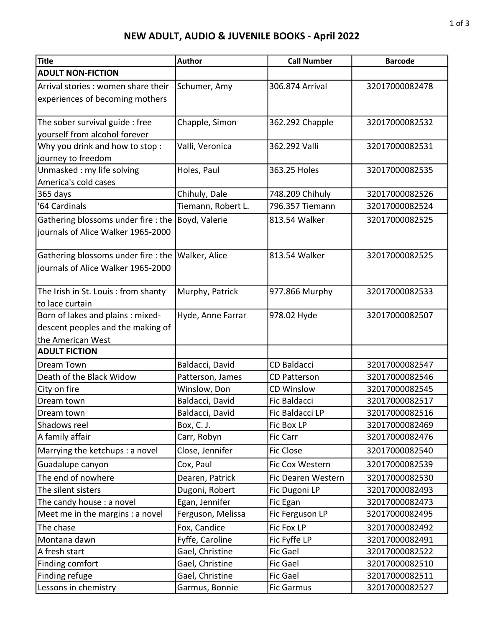## NEW ADULT, AUDIO & JUVENILE BOOKS - April 2022

| Title                                                                  | <b>Author</b>      | <b>Call Number</b>  | <b>Barcode</b> |
|------------------------------------------------------------------------|--------------------|---------------------|----------------|
| <b>ADULT NON-FICTION</b>                                               |                    |                     |                |
| Arrival stories : women share their                                    | Schumer, Amy       | 306.874 Arrival     | 32017000082478 |
| experiences of becoming mothers                                        |                    |                     |                |
|                                                                        |                    |                     |                |
| The sober survival guide : free                                        | Chapple, Simon     | 362.292 Chapple     | 32017000082532 |
| yourself from alcohol forever                                          |                    |                     |                |
| Why you drink and how to stop:                                         | Valli, Veronica    | 362.292 Valli       | 32017000082531 |
| journey to freedom                                                     |                    |                     |                |
| Unmasked : my life solving                                             | Holes, Paul        | 363.25 Holes        | 32017000082535 |
| America's cold cases                                                   |                    |                     |                |
| 365 days                                                               | Chihuly, Dale      | 748.209 Chihuly     | 32017000082526 |
| '64 Cardinals                                                          | Tiemann, Robert L. | 796.357 Tiemann     | 32017000082524 |
| Gathering blossoms under fire : the                                    | Boyd, Valerie      | 813.54 Walker       | 32017000082525 |
| journals of Alice Walker 1965-2000                                     |                    |                     |                |
|                                                                        |                    |                     |                |
| Gathering blossoms under fire : the                                    | Walker, Alice      | 813.54 Walker       | 32017000082525 |
| journals of Alice Walker 1965-2000                                     |                    |                     |                |
|                                                                        |                    |                     |                |
| The Irish in St. Louis: from shanty                                    | Murphy, Patrick    | 977.866 Murphy      | 32017000082533 |
| to lace curtain                                                        |                    | 978.02 Hyde         | 32017000082507 |
| Born of lakes and plains : mixed-<br>descent peoples and the making of | Hyde, Anne Farrar  |                     |                |
| the American West                                                      |                    |                     |                |
| <b>ADULT FICTION</b>                                                   |                    |                     |                |
| <b>Dream Town</b>                                                      | Baldacci, David    | <b>CD Baldacci</b>  | 32017000082547 |
| Death of the Black Widow                                               | Patterson, James   | <b>CD Patterson</b> | 32017000082546 |
| City on fire                                                           | Winslow, Don       | <b>CD Winslow</b>   | 32017000082545 |
| Dream town                                                             | Baldacci, David    | Fic Baldacci        | 32017000082517 |
| Dream town                                                             | Baldacci, David    | Fic Baldacci LP     | 32017000082516 |
| Shadows reel                                                           | Box, C. J.         | Fic Box LP          | 32017000082469 |
| A family affair                                                        | Carr, Robyn        | Fic Carr            | 32017000082476 |
| Marrying the ketchups : a novel                                        | Close, Jennifer    | <b>Fic Close</b>    | 32017000082540 |
| Guadalupe canyon                                                       | Cox, Paul          | Fic Cox Western     | 32017000082539 |
| The end of nowhere                                                     | Dearen, Patrick    | Fic Dearen Western  | 32017000082530 |
| The silent sisters                                                     | Dugoni, Robert     | Fic Dugoni LP       | 32017000082493 |
| The candy house: a novel                                               | Egan, Jennifer     | Fic Egan            | 32017000082473 |
| Meet me in the margins : a novel                                       | Ferguson, Melissa  | Fic Ferguson LP     | 32017000082495 |
| The chase                                                              | Fox, Candice       | Fic Fox LP          | 32017000082492 |
| Montana dawn                                                           | Fyffe, Caroline    | Fic Fyffe LP        | 32017000082491 |
| A fresh start                                                          | Gael, Christine    | <b>Fic Gael</b>     | 32017000082522 |
| Finding comfort                                                        | Gael, Christine    | <b>Fic Gael</b>     | 32017000082510 |
| Finding refuge                                                         | Gael, Christine    | Fic Gael            | 32017000082511 |
| Lessons in chemistry                                                   | Garmus, Bonnie     | <b>Fic Garmus</b>   | 32017000082527 |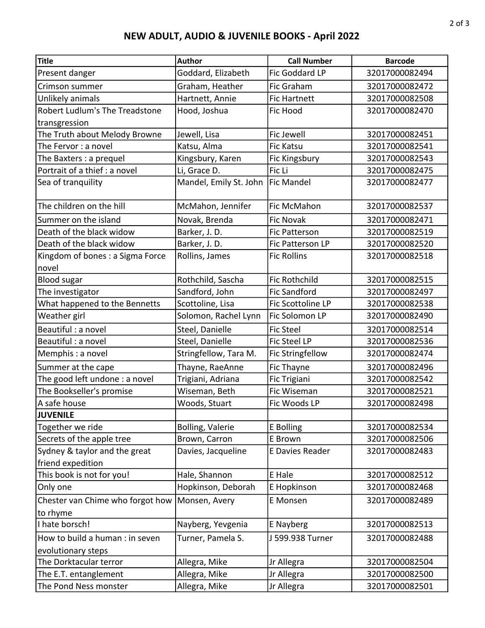## NEW ADULT, AUDIO & JUVENILE BOOKS - April 2022

| <b>Title</b>                     | <b>Author</b>          | <b>Call Number</b>      | <b>Barcode</b> |
|----------------------------------|------------------------|-------------------------|----------------|
| Present danger                   | Goddard, Elizabeth     | Fic Goddard LP          | 32017000082494 |
| Crimson summer                   | Graham, Heather        | Fic Graham              | 32017000082472 |
| Unlikely animals                 | Hartnett, Annie        | <b>Fic Hartnett</b>     | 32017000082508 |
| Robert Ludlum's The Treadstone   | Hood, Joshua           | Fic Hood                | 32017000082470 |
| transgression                    |                        |                         |                |
| The Truth about Melody Browne    | Jewell, Lisa           | <b>Fic Jewell</b>       | 32017000082451 |
| The Fervor: a novel              | Katsu, Alma            | <b>Fic Katsu</b>        | 32017000082541 |
| The Baxters : a prequel          | Kingsbury, Karen       | Fic Kingsbury           | 32017000082543 |
| Portrait of a thief : a novel    | Li, Grace D.           | Fic Li                  | 32017000082475 |
| Sea of tranquility               | Mandel, Emily St. John | <b>Fic Mandel</b>       | 32017000082477 |
| The children on the hill         | McMahon, Jennifer      | Fic McMahon             | 32017000082537 |
| Summer on the island             | Novak, Brenda          | <b>Fic Novak</b>        | 32017000082471 |
| Death of the black widow         | Barker, J. D.          | <b>Fic Patterson</b>    | 32017000082519 |
| Death of the black widow         | Barker, J. D.          | <b>Fic Patterson LP</b> | 32017000082520 |
| Kingdom of bones : a Sigma Force | Rollins, James         | <b>Fic Rollins</b>      | 32017000082518 |
| novel                            |                        |                         |                |
| <b>Blood sugar</b>               | Rothchild, Sascha      | <b>Fic Rothchild</b>    | 32017000082515 |
| The investigator                 | Sandford, John         | <b>Fic Sandford</b>     | 32017000082497 |
| What happened to the Bennetts    | Scottoline, Lisa       | Fic Scottoline LP       | 32017000082538 |
| Weather girl                     | Solomon, Rachel Lynn   | Fic Solomon LP          | 32017000082490 |
| Beautiful : a novel              | Steel, Danielle        | <b>Fic Steel</b>        | 32017000082514 |
| Beautiful: a novel               | Steel, Danielle        | <b>Fic Steel LP</b>     | 32017000082536 |
| Memphis: a novel                 | Stringfellow, Tara M.  | <b>Fic Stringfellow</b> | 32017000082474 |
| Summer at the cape               | Thayne, RaeAnne        | Fic Thayne              | 32017000082496 |
| The good left undone : a novel   | Trigiani, Adriana      | Fic Trigiani            | 32017000082542 |
| The Bookseller's promise         | Wiseman, Beth          | Fic Wiseman             | 32017000082521 |
| A safe house                     | Woods, Stuart          | Fic Woods LP            | 32017000082498 |
| <b>JUVENILE</b>                  |                        |                         |                |
| Together we ride                 | Bolling, Valerie       | E Bolling               | 32017000082534 |
| Secrets of the apple tree        | Brown, Carron          | E Brown                 | 32017000082506 |
| Sydney & taylor and the great    | Davies, Jacqueline     | E Davies Reader         | 32017000082483 |
| friend expedition                |                        |                         |                |
| This book is not for you!        | Hale, Shannon          | <b>E</b> Hale           | 32017000082512 |
| Only one                         | Hopkinson, Deborah     | E Hopkinson             | 32017000082468 |
| Chester van Chime who forgot how | Monsen, Avery          | E Monsen                | 32017000082489 |
| to rhyme                         |                        |                         |                |
| I hate borsch!                   | Nayberg, Yevgenia      | E Nayberg               | 32017000082513 |
| How to build a human : in seven  | Turner, Pamela S.      | J 599.938 Turner        | 32017000082488 |
| evolutionary steps               |                        |                         |                |
| The Dorktacular terror           | Allegra, Mike          | Jr Allegra              | 32017000082504 |
| The E.T. entanglement            | Allegra, Mike          | Jr Allegra              | 32017000082500 |
| The Pond Ness monster            | Allegra, Mike          | Jr Allegra              | 32017000082501 |